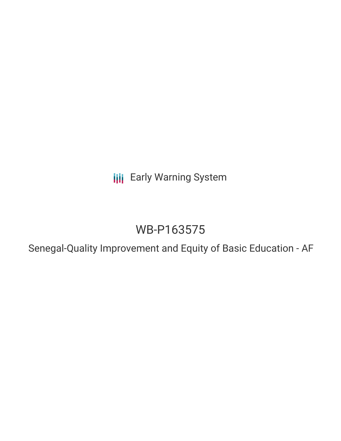**III** Early Warning System

# WB-P163575

Senegal-Quality Improvement and Equity of Basic Education - AF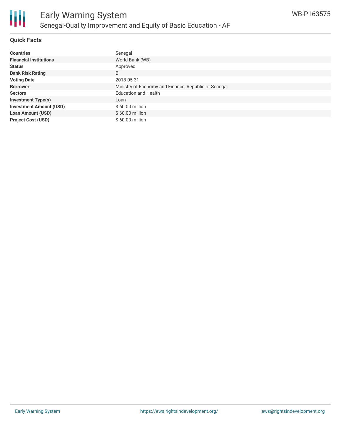

### **Quick Facts**

| <b>Countries</b>               | Senegal                                              |
|--------------------------------|------------------------------------------------------|
| <b>Financial Institutions</b>  | World Bank (WB)                                      |
| <b>Status</b>                  | Approved                                             |
| <b>Bank Risk Rating</b>        | B                                                    |
| <b>Voting Date</b>             | 2018-05-31                                           |
| <b>Borrower</b>                | Ministry of Economy and Finance, Republic of Senegal |
| <b>Sectors</b>                 | <b>Education and Health</b>                          |
| <b>Investment Type(s)</b>      | Loan                                                 |
| <b>Investment Amount (USD)</b> | $$60.00$ million                                     |
| <b>Loan Amount (USD)</b>       | $$60.00$ million                                     |
| <b>Project Cost (USD)</b>      | $$60.00$ million                                     |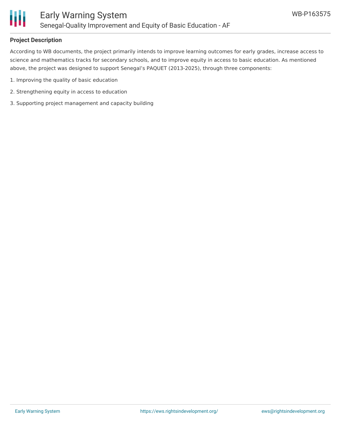

# **Project Description**

According to WB documents, the project primarily intends to improve learning outcomes for early grades, increase access to science and mathematics tracks for secondary schools, and to improve equity in access to basic education. As mentioned above, the project was designed to support Senegal's PAQUET (2013-2025), through three components:

- 1. Improving the quality of basic education
- 2. Strengthening equity in access to education
- 3. Supporting project management and capacity building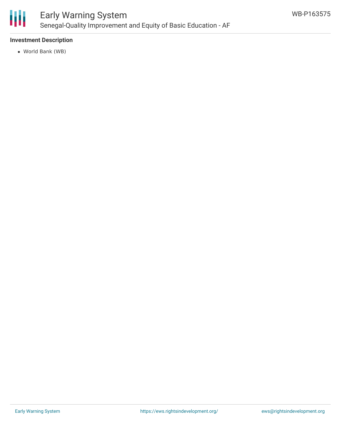

# **Investment Description**

World Bank (WB)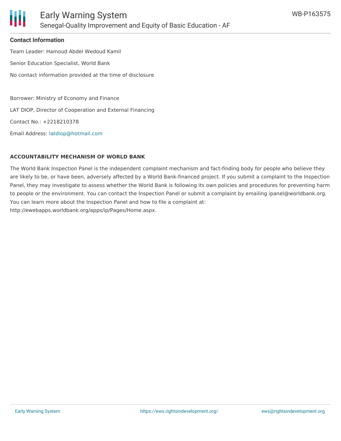

#### **Contact Information**

Team Leader: Hamoud Abdel Wedoud Kamil Senior Education Specialist, World Bank No contact information provided at the time of disclosure

Borrower: Ministry of Economy and Finance LAT DIOP, Director of Cooperation and External Financing

Contact No.: +2218210378

Email Address: [latdiop@hotmail.com](mailto:latdiop@hotmail.com)

#### **ACCOUNTABILITY MECHANISM OF WORLD BANK**

The World Bank Inspection Panel is the independent complaint mechanism and fact-finding body for people who believe they are likely to be, or have been, adversely affected by a World Bank-financed project. If you submit a complaint to the Inspection Panel, they may investigate to assess whether the World Bank is following its own policies and procedures for preventing harm to people or the environment. You can contact the Inspection Panel or submit a complaint by emailing ipanel@worldbank.org. You can learn more about the Inspection Panel and how to file a complaint at: http://ewebapps.worldbank.org/apps/ip/Pages/Home.aspx.